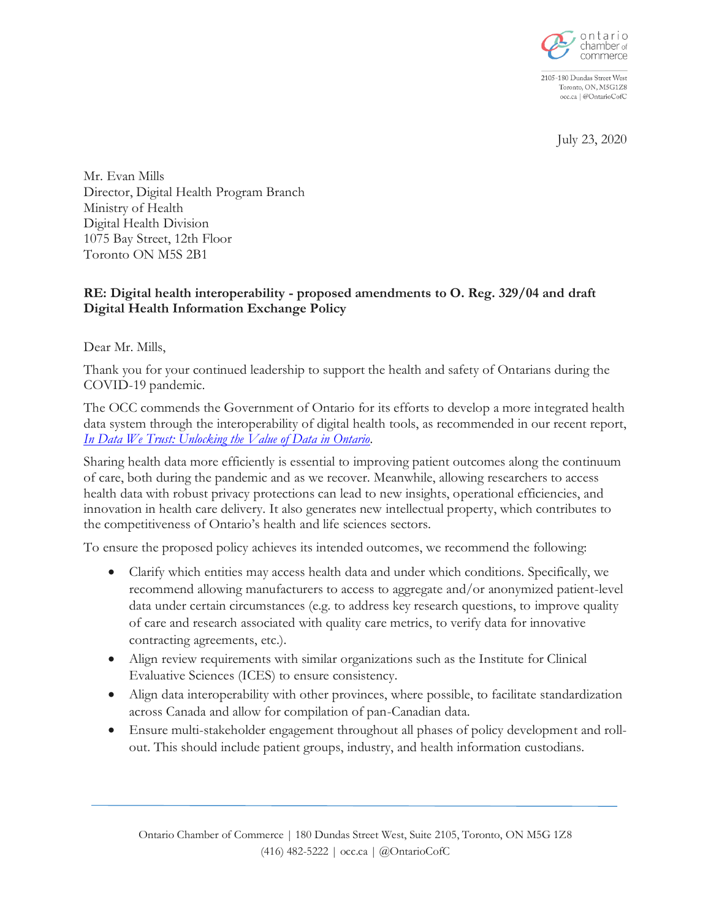

2105-180 Dundas Street West Toronto, ON, M5G1Z8 occ.ca | @OntarioCofC

July 23, 2020

Mr. Evan Mills Director, Digital Health Program Branch Ministry of Health Digital Health Division 1075 Bay Street, 12th Floor Toronto ON M5S 2B1

## **RE: Digital health interoperability - proposed amendments to O. Reg. 329/04 and draft Digital Health Information Exchange Policy**

Dear Mr. Mills,

Thank you for your continued leadership to support the health and safety of Ontarians during the COVID-19 pandemic.

The OCC commends the Government of Ontario for its efforts to develop a more integrated health data system through the interoperability of digital health tools, as recommended in our recent report, *[In Data We Trust: Unlocking the Value of Data in Ontario.](https://occ.ca/wp-content/uploads/OCC-DataReport.pdf)*

Sharing health data more efficiently is essential to improving patient outcomes along the continuum of care, both during the pandemic and as we recover. Meanwhile, allowing researchers to access health data with robust privacy protections can lead to new insights, operational efficiencies, and innovation in health care delivery. It also generates new intellectual property, which contributes to the competitiveness of Ontario's health and life sciences sectors.

To ensure the proposed policy achieves its intended outcomes, we recommend the following:

- Clarify which entities may access health data and under which conditions. Specifically, we recommend allowing manufacturers to access to aggregate and/or anonymized patient-level data under certain circumstances (e.g. to address key research questions, to improve quality of care and research associated with quality care metrics, to verify data for innovative contracting agreements, etc.).
- Align review requirements with similar organizations such as the Institute for Clinical Evaluative Sciences (ICES) to ensure consistency.
- Align data interoperability with other provinces, where possible, to facilitate standardization across Canada and allow for compilation of pan-Canadian data.
- Ensure multi-stakeholder engagement throughout all phases of policy development and rollout. This should include patient groups, industry, and health information custodians.